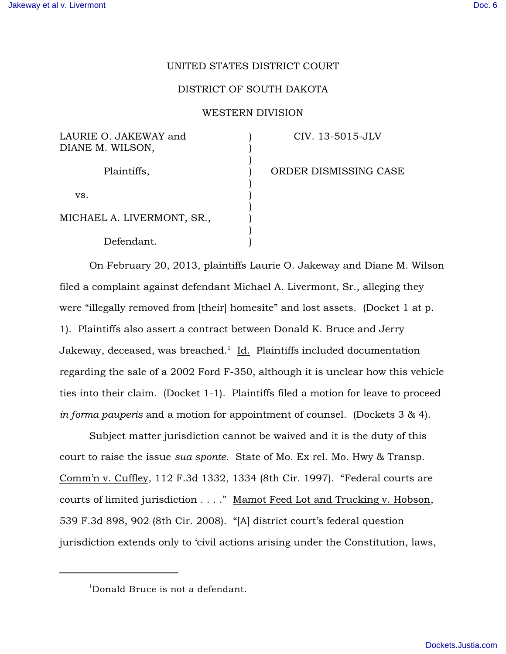## UNITED STATES DISTRICT COURT

## DISTRICT OF SOUTH DAKOTA

## WESTERN DIVISION

) ) ) ) ) ) ) ) ) )

| LAURIE O. JAKEWAY and |  |
|-----------------------|--|
| DIANE M. WILSON,      |  |

Plaintiffs,

CIV. 13-5015-JLV

vs.

MICHAEL A. LIVERMONT, SR.,

Defendant.

ORDER DISMISSING CASE

On February 20, 2013, plaintiffs Laurie O. Jakeway and Diane M. Wilson filed a complaint against defendant Michael A. Livermont, Sr., alleging they were "illegally removed from [their] homesite" and lost assets. (Docket 1 at p. 1). Plaintiffs also assert a contract between Donald K. Bruce and Jerry Jakeway, deceased, was breached. $\frac{1}{1}$  Id. Plaintiffs included documentation regarding the sale of a 2002 Ford F-350, although it is unclear how this vehicle ties into their claim. (Docket 1-1). Plaintiffs filed a motion for leave to proceed *in forma pauperis* and a motion for appointment of counsel. (Dockets 3 & 4).

Subject matter jurisdiction cannot be waived and it is the duty of this court to raise the issue *sua sponte*. State of Mo. Ex rel. Mo. Hwy & Transp. Comm'n v. Cuffley, 112 F.3d 1332, 1334 (8th Cir. 1997). "Federal courts are courts of limited jurisdiction . . . ." Mamot Feed Lot and Trucking v. Hobson, 539 F.3d 898, 902 (8th Cir. 2008). "[A] district court's federal question jurisdiction extends only to 'civil actions arising under the Constitution, laws,

 $1$ Donald Bruce is not a defendant.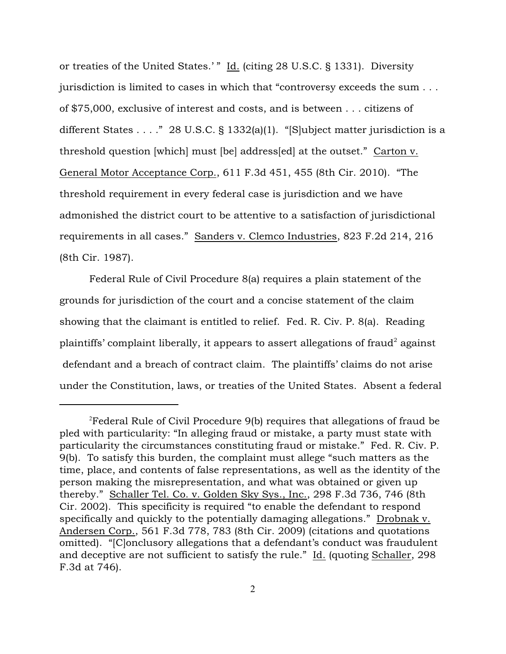or treaties of the United States.' " Id. (citing 28 U.S.C. § 1331). Diversity jurisdiction is limited to cases in which that "controversy exceeds the sum . . . of \$75,000, exclusive of interest and costs, and is between . . . citizens of different States . . . ." 28 U.S.C. § 1332(a)(1). "[S]ubject matter jurisdiction is a threshold question [which] must [be] address[ed] at the outset." Carton v. General Motor Acceptance Corp., 611 F.3d 451, 455 (8th Cir. 2010). "The threshold requirement in every federal case is jurisdiction and we have admonished the district court to be attentive to a satisfaction of jurisdictional requirements in all cases." Sanders v. Clemco Industries, 823 F.2d 214, 216 (8th Cir. 1987).

Federal Rule of Civil Procedure 8(a) requires a plain statement of the grounds for jurisdiction of the court and a concise statement of the claim showing that the claimant is entitled to relief. Fed. R. Civ. P. 8(a). Reading plaintiffs' complaint liberally, it appears to assert allegations of fraud<sup>2</sup> against defendant and a breach of contract claim. The plaintiffs' claims do not arise under the Constitution, laws, or treaties of the United States. Absent a federal

 $2$ Federal Rule of Civil Procedure 9(b) requires that allegations of fraud be pled with particularity: "In alleging fraud or mistake, a party must state with particularity the circumstances constituting fraud or mistake." Fed. R. Civ. P. 9(b). To satisfy this burden, the complaint must allege "such matters as the time, place, and contents of false representations, as well as the identity of the person making the misrepresentation, and what was obtained or given up thereby." Schaller Tel. Co. v. Golden Sky Sys., Inc., 298 F.3d 736, 746 (8th Cir. 2002). This specificity is required "to enable the defendant to respond specifically and quickly to the potentially damaging allegations." Drobnak v. Andersen Corp., 561 F.3d 778, 783 (8th Cir. 2009) (citations and quotations omitted). "[C]onclusory allegations that a defendant's conduct was fraudulent and deceptive are not sufficient to satisfy the rule." Id. (quoting Schaller, 298 F.3d at 746).